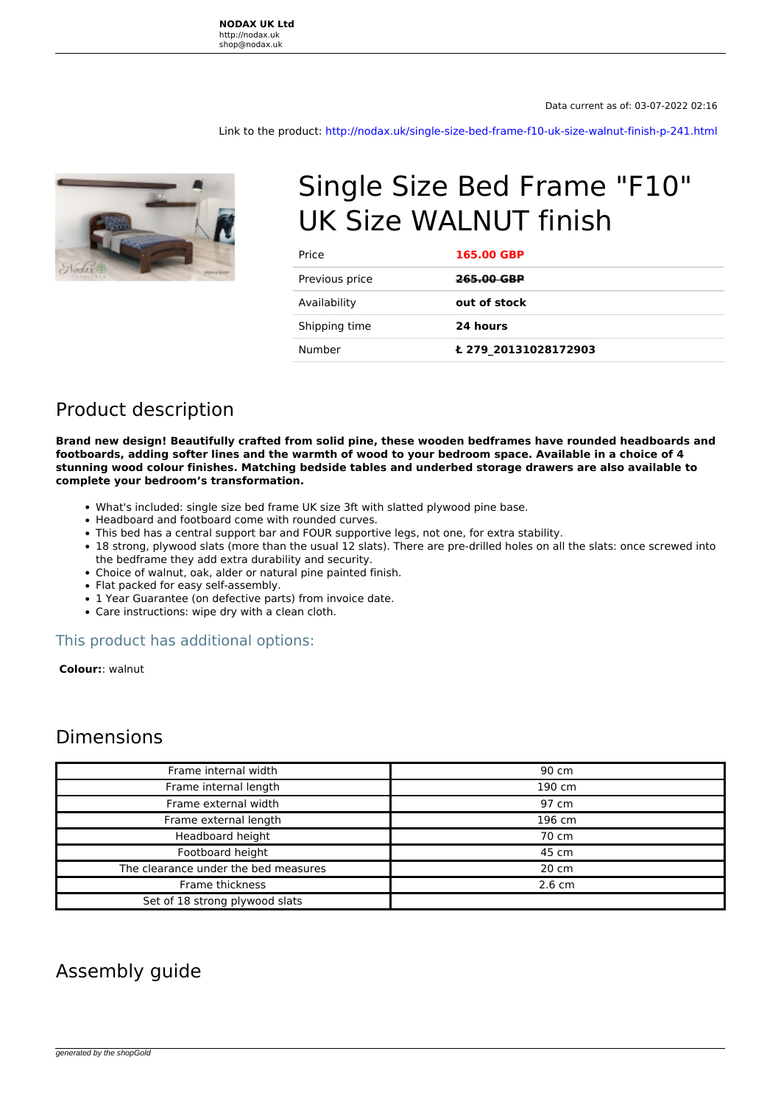Link to the product:<http://nodax.uk/single-size-bed-frame-f10-uk-size-walnut-finish-p-241.html>



# Single Size Bed Frame "F10" UK Size WALNUT finish

| Price          | 165.00 GBP           |
|----------------|----------------------|
| Previous price | 265.00 GBP           |
| Availability   | out of stock         |
| Shipping time  | 24 hours             |
| Number         | £ 279 20131028172903 |

## Product description

**Brand new design! Beautifully crafted from solid pine, these wooden bedframes have rounded headboards and footboards, adding softer lines and the warmth of wood to your bedroom space. Available in a choice of 4 stunning wood colour finishes. Matching bedside tables and underbed storage drawers are also available to complete your bedroom's transformation.** 

- What's included: single size bed frame UK size 3ft with slatted plywood pine base.
- Headboard and footboard come with rounded curves.
- This bed has a central support bar and FOUR supportive legs, not one, for extra stability.
- 18 strong, plywood slats (more than the usual 12 slats). There are pre-drilled holes on all the slats: once screwed into the bedframe they add extra durability and security.
- Choice of walnut, oak, alder or natural pine painted finish.
- Flat packed for easy self-assembly.
- 1 Year Guarantee (on defective parts) from invoice date.
- Care instructions: wipe dry with a clean cloth.

#### This product has additional options:

 **Colour:**: walnut

### Dimensions

| Frame internal width                 | 90 cm            |
|--------------------------------------|------------------|
| Frame internal length                | 190 cm           |
| Frame external width                 | 97 cm            |
| Frame external length                | 196 cm           |
| Headboard height                     | 70 cm            |
| Footboard height                     | 45 cm            |
| The clearance under the bed measures | 20 cm            |
| Frame thickness                      | $2.6 \text{ cm}$ |
| Set of 18 strong plywood slats       |                  |

### Assembly guide